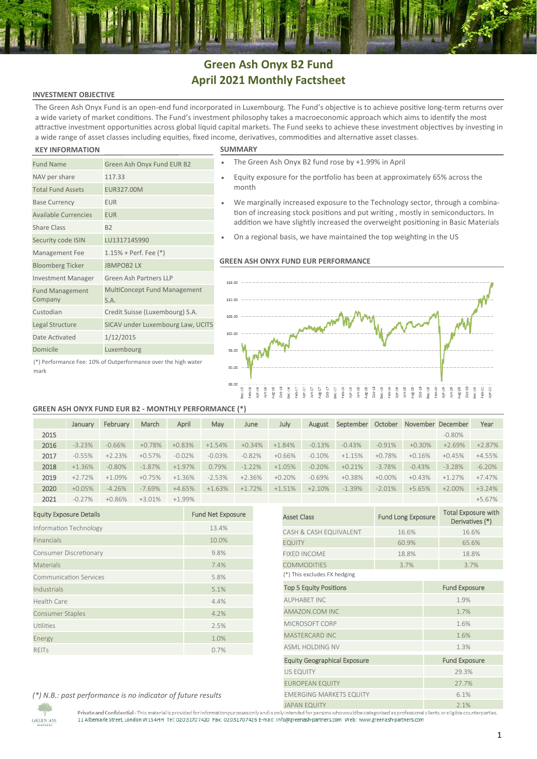# **Green Ash Onyx B2 Fund April 2021 Monthly Factsheet**

### **INVESTMENT OBJECTIVE**

The Green Ash Onyx Fund is an open-end fund incorporated in Luxembourg. The Fund's objective is to achieve positive long-term returns over a wide variety of market conditions. The Fund's investment philosophy takes a macroeconomic approach which aims to identify the most attractive investment opportunities across global liquid capital markets. The Fund seeks to achieve these investment objectives by investing in a wide range of asset classes including equities, fixed income, derivatives, commodities and alternative asset classes.

# **KEY INFORMATION SUMMARY**

Fund Management Company

NAV per share 117.33 Total Fund Assets EUR327.00M Base Currency **EUR** Available Currencies EUR Share Class B2

Security code ISIN LU1317145990 Management Fee 1.15% + Perf. Fee (\*) Bloomberg Ticker JBMPOB2 LX

Date Activated 1/12/2015 Domicile Luxembourg

Investment Manager Green Ash Partners LLP

S.A. Custodian Credit Suisse (Luxembourg) S.A. Legal Structure SICAV under Luxembourg Law, UCITS

Fund Name Green Ash Onyx Fund EUR B2

| The Green Ash Onyx B2 fund rose by +1.99% in April |  |  |  |
|----------------------------------------------------|--|--|--|

- Equity exposure for the portfolio has been at approximately 65% across the month
- We marginally increased exposure to the Technology sector, through a combination of increasing stock positions and put writing , mostly in semiconductors. In addition we have slightly increased the overweight positioning in Basic Materials
- On a regional basis, we have maintained the top weighting in the US

## **GREEN ASH ONYX FUND EUR PERFORMANCE**



(\*) Performance Fee: 10% of Outperformance over the high water mark

### **GREEN ASH ONYX FUND EUR B2 - MONTHLY PERFORMANCE (\*)**

MultiConcept Fund Management

|      | January  | February  | March     | April     | May      | June     | July     | August   | September | October   |          | November December | Year     |
|------|----------|-----------|-----------|-----------|----------|----------|----------|----------|-----------|-----------|----------|-------------------|----------|
| 2015 |          |           |           |           |          |          |          |          |           |           |          | $-0.80\%$         |          |
| 2016 | $-3.23%$ | $-0.66%$  | $+0.78%$  | $+0.83%$  | $+1.54%$ | $+0.34%$ | $+1.84%$ | $-0.13%$ | $-0.43%$  | $-0.91%$  | $+0.30%$ | $+2.69%$          | $+2.87%$ |
| 2017 | $-0.55%$ | $+2.23%$  | $+0.57%$  | $-0.02%$  | $-0.03%$ | $-0.82%$ | $+0.66%$ | $-0.10%$ | $+1.15%$  | $+0.78%$  | $+0.16%$ | $+0.45%$          | $+4.55%$ |
| 2018 | $+1.36%$ | $-0.80\%$ | $-1.87\%$ | $+1.97%$  | 0.79%    | $-1.22%$ | $+1.05%$ | $-0.20%$ | $+0.21%$  | $-3.78%$  | $-0.43%$ | $-3.28%$          | $-6.20%$ |
| 2019 | $+2.72%$ | $+1.09%$  | $+0.75%$  | $+1.36%$  | $-2.53%$ | $+2.36%$ | $+0.20%$ | $-0.69%$ | $+0.38%$  | $+0.00\%$ | $+0.43%$ | $+1.27%$          | $+7.47%$ |
| 2020 | $+0.05%$ | $-4.26%$  | $-7.69%$  | $+4.65%$  | $+1.63%$ | $+1.72%$ | $+1.51%$ | $+2.10%$ | $-1.39%$  | $-2.01%$  | $+5.65%$ | $+2.00\%$         | $+3.24%$ |
| 2021 | $-0.27%$ | $+0.86%$  | $+3.01%$  | $+1.99\%$ |          |          |          |          |           |           |          |                   | $+5.67%$ |

| <b>Equity Exposure Details</b> | <b>Fund Net Exposure</b> |  |  |  |
|--------------------------------|--------------------------|--|--|--|
| Information Technology         | 13.4%                    |  |  |  |
| Financials                     | 10.0%                    |  |  |  |
| Consumer Discretionary         | 9.8%                     |  |  |  |
| Materials                      | 7.4%                     |  |  |  |
| <b>Communication Services</b>  | 5.8%                     |  |  |  |
| Industrials                    | 5.1%                     |  |  |  |
| <b>Health Care</b>             | 4.4%                     |  |  |  |
| <b>Consumer Staples</b>        | 4.2%                     |  |  |  |
| Utilities                      | 2.5%                     |  |  |  |
| Energy                         | 1.0%                     |  |  |  |
| <b>REITS</b>                   | 0.7%                     |  |  |  |

|                                     |                           | $+5.6/%$                                      |  |  |  |  |  |  |
|-------------------------------------|---------------------------|-----------------------------------------------|--|--|--|--|--|--|
| <b>Asset Class</b>                  | <b>Fund Long Exposure</b> | <b>Total Exposure with</b><br>Derivatives (*) |  |  |  |  |  |  |
| CASH & CASH EQUIVALENT              | 16.6%                     | 16.6%                                         |  |  |  |  |  |  |
| <b>EQUITY</b>                       | 60.9%                     | 65.6%                                         |  |  |  |  |  |  |
| <b>FIXED INCOMF</b>                 | 18.8%                     | 18.8%                                         |  |  |  |  |  |  |
| <b>COMMODITIES</b>                  | 3.7%                      | 3.7%                                          |  |  |  |  |  |  |
| (*) This excludes FX hedging        |                           |                                               |  |  |  |  |  |  |
| <b>Top 5 Equity Positions</b>       |                           | <b>Fund Exposure</b>                          |  |  |  |  |  |  |
| AI PHABET INC                       |                           | 1.9%                                          |  |  |  |  |  |  |
| AMAZON.COM INC                      |                           | 1.7%                                          |  |  |  |  |  |  |
| MICROSOFT CORP                      |                           | 1.6%                                          |  |  |  |  |  |  |
| <b>MASTERCARD INC</b>               |                           | 1.6%                                          |  |  |  |  |  |  |
| <b>ASML HOLDING NV</b>              |                           | 1.3%                                          |  |  |  |  |  |  |
| <b>Equity Geographical Exposure</b> |                           | <b>Fund Exposure</b>                          |  |  |  |  |  |  |
| <b>US EQUITY</b>                    |                           | 29.3%                                         |  |  |  |  |  |  |
| <b>EUROPEAN EQUITY</b>              |                           | 27.7%                                         |  |  |  |  |  |  |
| <b>EMERGING MARKETS EQUITY</b>      |                           | 6.1%                                          |  |  |  |  |  |  |
| <b>JAPAN EQUITY</b>                 |                           | 2.1%                                          |  |  |  |  |  |  |

*(\*) N.B.: past performance is no indicator of future results*

**GREEN ASH** 

mate and commentation with the construction of the construction of the construction of the construction of the construction of the construction of the construction of the construction of the construction of the constructio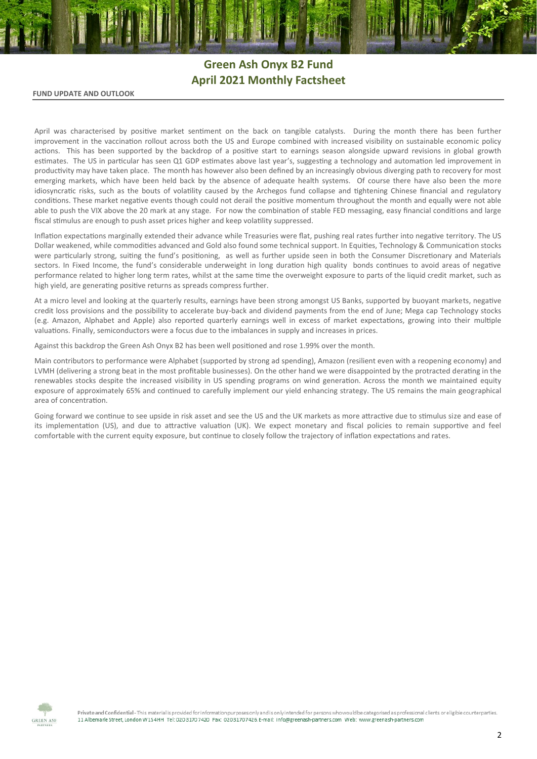# **Green Ash Onyx B2 Fund April 2021 Monthly Factsheet**

### **FUND UPDATE AND OUTLOOK**

April was characterised by positive market sentiment on the back on tangible catalysts. During the month there has been further improvement in the vaccination rollout across both the US and Europe combined with increased visibility on sustainable economic policy actions. This has been supported by the backdrop of a positive start to earnings season alongside upward revisions in global growth estimates. The US in particular has seen Q1 GDP estimates above last year's, suggesting a technology and automation led improvement in productivity may have taken place. The month has however also been defined by an increasingly obvious diverging path to recovery for most emerging markets, which have been held back by the absence of adequate health systems. Of course there have also been the more idiosyncratic risks, such as the bouts of volatility caused by the Archegos fund collapse and tightening Chinese financial and regulatory conditions. These market negative events though could not derail the positive momentum throughout the month and equally were not able able to push the VIX above the 20 mark at any stage. For now the combination of stable FED messaging, easy financial conditions and large fiscal stimulus are enough to push asset prices higher and keep volatility suppressed.

Inflation expectations marginally extended their advance while Treasuries were flat, pushing real rates further into negative territory. The US Dollar weakened, while commodities advanced and Gold also found some technical support. In Equities, Technology & Communication stocks were particularly strong, suiting the fund's positioning, as well as further upside seen in both the Consumer Discretionary and Materials sectors. In Fixed Income, the fund's considerable underweight in long duration high quality bonds continues to avoid areas of negative performance related to higher long term rates, whilst at the same time the overweight exposure to parts of the liquid credit market, such as high yield, are generating positive returns as spreads compress further.

At a micro level and looking at the quarterly results, earnings have been strong amongst US Banks, supported by buoyant markets, negative credit loss provisions and the possibility to accelerate buy-back and dividend payments from the end of June; Mega cap Technology stocks (e.g. Amazon, Alphabet and Apple) also reported quarterly earnings well in excess of market expectations, growing into their multiple valuations. Finally, semiconductors were a focus due to the imbalances in supply and increases in prices.

Against this backdrop the Green Ash Onyx B2 has been well positioned and rose 1.99% over the month.

Main contributors to performance were Alphabet (supported by strong ad spending), Amazon (resilient even with a reopening economy) and LVMH (delivering a strong beat in the most profitable businesses). On the other hand we were disappointed by the protracted derating in the renewables stocks despite the increased visibility in US spending programs on wind generation. Across the month we maintained equity exposure of approximately 65% and continued to carefully implement our yield enhancing strategy. The US remains the main geographical area of concentration.

Going forward we continue to see upside in risk asset and see the US and the UK markets as more attractive due to stimulus size and ease of its implementation (US), and due to attractive valuation (UK). We expect monetary and fiscal policies to remain supportive and feel comfortable with the current equity exposure, but continue to closely follow the trajectory of inflation expectations and rates.